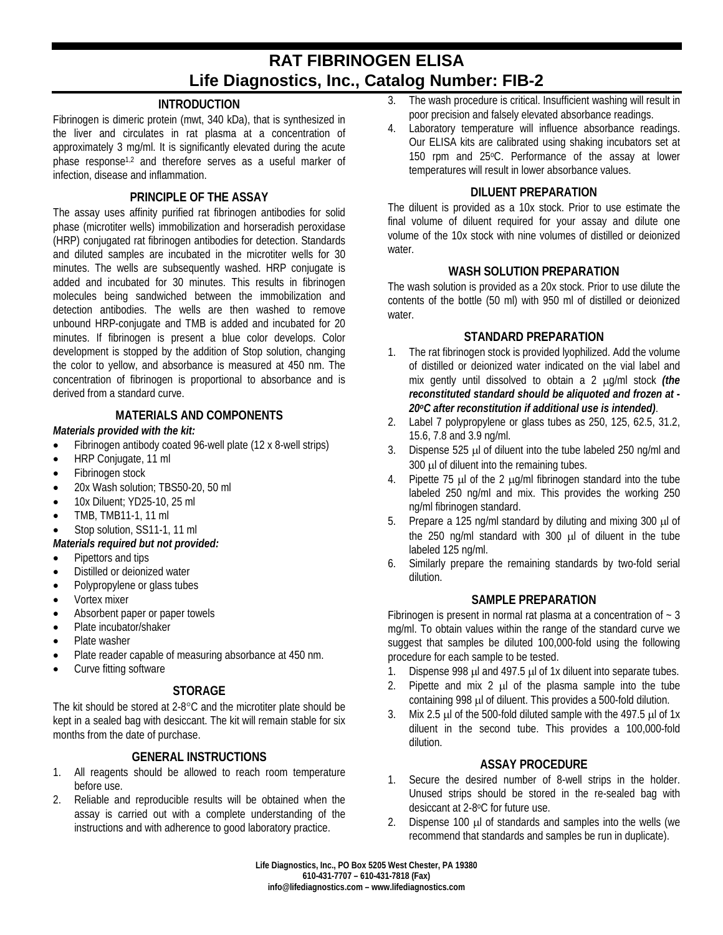# **RAT FIBRINOGEN ELISA Life Diagnostics, Inc., Catalog Number: FIB-2**

# **INTRODUCTION**

Fibrinogen is dimeric protein (mwt, 340 kDa), that is synthesized in the liver and circulates in rat plasma at a concentration of approximately 3 mg/ml. It is significantly elevated during the acute phase response1,2 and therefore serves as a useful marker of infection, disease and inflammation.

## **PRINCIPLE OF THE ASSAY**

The assay uses affinity purified rat fibrinogen antibodies for solid phase (microtiter wells) immobilization and horseradish peroxidase (HRP) conjugated rat fibrinogen antibodies for detection. Standards and diluted samples are incubated in the microtiter wells for 30 minutes. The wells are subsequently washed. HRP conjugate is added and incubated for 30 minutes. This results in fibrinogen molecules being sandwiched between the immobilization and detection antibodies. The wells are then washed to remove unbound HRP-conjugate and TMB is added and incubated for 20 minutes. If fibrinogen is present a blue color develops. Color development is stopped by the addition of Stop solution, changing the color to yellow, and absorbance is measured at 450 nm. The concentration of fibrinogen is proportional to absorbance and is derived from a standard curve.

#### **MATERIALS AND COMPONENTS**

#### *Materials provided with the kit:*

- Fibrinogen antibody coated 96-well plate (12 x 8-well strips)
- HRP Conjugate, 11 ml
- Fibrinogen stock
- 20x Wash solution; TBS50-20, 50 ml
- 10x Diluent; YD25-10, 25 ml
- TMB, TMB11-1, 11 ml
- Stop solution, SS11-1, 11 ml
- *Materials required but not provided:*
- Pipettors and tips
- Distilled or deionized water
- Polypropylene or glass tubes
- Vortex mixer
- Absorbent paper or paper towels
- Plate incubator/shaker
- Plate washer
- Plate reader capable of measuring absorbance at 450 nm.
- Curve fitting software

# **STORAGE**

The kit should be stored at 2-8°C and the microtiter plate should be kept in a sealed bag with desiccant. The kit will remain stable for six months from the date of purchase.

# **GENERAL INSTRUCTIONS**

- 1. All reagents should be allowed to reach room temperature before use.
- 2. Reliable and reproducible results will be obtained when the assay is carried out with a complete understanding of the instructions and with adherence to good laboratory practice.
- 3. The wash procedure is critical. Insufficient washing will result in poor precision and falsely elevated absorbance readings.
- 4. Laboratory temperature will influence absorbance readings. Our ELISA kits are calibrated using shaking incubators set at 150 rpm and 25°C. Performance of the assay at lower temperatures will result in lower absorbance values.

#### **DILUENT PREPARATION**

The diluent is provided as a 10x stock. Prior to use estimate the final volume of diluent required for your assay and dilute one volume of the 10x stock with nine volumes of distilled or deionized water.

#### **WASH SOLUTION PREPARATION**

The wash solution is provided as a 20x stock. Prior to use dilute the contents of the bottle (50 ml) with 950 ml of distilled or deionized water.

#### **STANDARD PREPARATION**

- 1. The rat fibrinogen stock is provided lyophilized. Add the volume of distilled or deionized water indicated on the vial label and mix gently until dissolved to obtain a 2 µg/ml stock *(the reconstituted standard should be aliquoted and frozen at - 20oC after reconstitution if additional use is intended)*.
- 2. Label 7 polypropylene or glass tubes as 250, 125, 62.5, 31.2, 15.6, 7.8 and 3.9 ng/ml.
- 3. Dispense 525 µl of diluent into the tube labeled 250 ng/ml and 300 µl of diluent into the remaining tubes.
- 4. Pipette 75  $\mu$  of the 2  $\mu$ g/ml fibrinogen standard into the tube labeled 250 ng/ml and mix. This provides the working 250 ng/ml fibrinogen standard.
- 5. Prepare a 125 ng/ml standard by diluting and mixing 300 µl of the 250 ng/ml standard with 300 ul of diluent in the tube labeled 125 ng/ml.
- 6. Similarly prepare the remaining standards by two-fold serial dilution.

#### **SAMPLE PREPARATION**

Fibrinogen is present in normal rat plasma at a concentration of  $\sim$  3 mg/ml. To obtain values within the range of the standard curve we suggest that samples be diluted 100,000-fold using the following procedure for each sample to be tested.

- 1. Dispense 998 µl and 497.5 µl of 1x diluent into separate tubes.
- 2. Pipette and mix  $2 \mu$  of the plasma sample into the tube containing 998 µl of diluent. This provides a 500-fold dilution.
- 3. Mix 2.5  $\mu$  of the 500-fold diluted sample with the 497.5  $\mu$  of 1x diluent in the second tube. This provides a 100,000-fold dilution.

#### **ASSAY PROCEDURE**

- 1. Secure the desired number of 8-well strips in the holder. Unused strips should be stored in the re-sealed bag with desiccant at 2-8oC for future use.
- 2. Dispense 100 µl of standards and samples into the wells (we recommend that standards and samples be run in duplicate).

**Life Diagnostics, Inc., PO Box 5205 West Chester, PA 19380 610-431-7707 – 610-431-7818 (Fax) info@lifediagnostics.com – www.lifediagnostics.com**